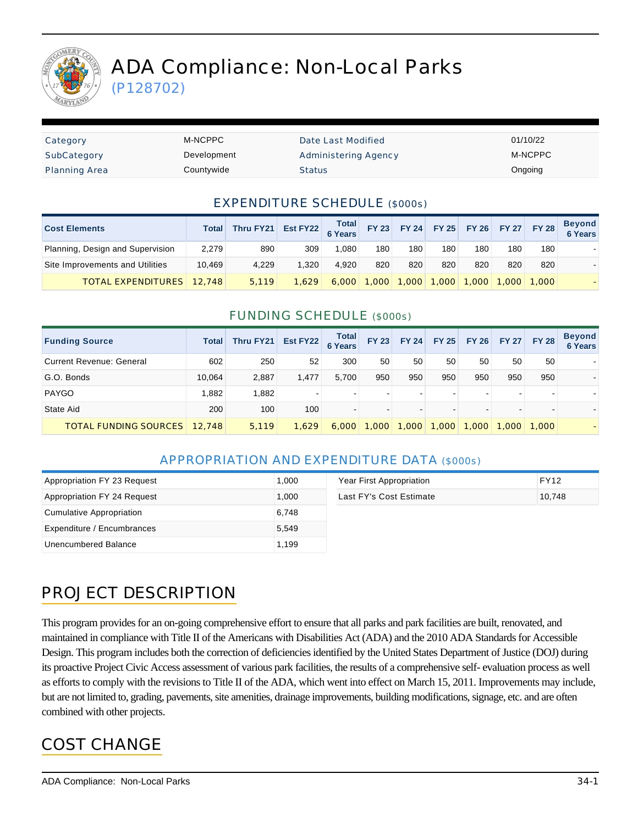

# ADA Compliance: Non-Local Parks

(P128702)

| Category             | M-NCPPC     | Date Last Modified          | 01/10/22 |
|----------------------|-------------|-----------------------------|----------|
| SubCategory          | Development | <b>Administering Agency</b> | M-NCPPC  |
| <b>Planning Area</b> | Countywide  | <b>Status</b>               | Ongoing  |

#### EXPENDITURE SCHEDULE (\$000s)

| <b>Cost Elements</b>             | Total  | Thru FY21 | Est FY22 Total |       | <b>FY 23</b>     | <b>FY 24</b> |       |       |     | FY 25 FY 26 FY 27 FY 28 | <b>Beyond</b><br>6 Years |
|----------------------------------|--------|-----------|----------------|-------|------------------|--------------|-------|-------|-----|-------------------------|--------------------------|
| Planning, Design and Supervision | 2,279  | 890       | 309            | 1.080 | 180 <sub>1</sub> | 180          | 180   | 180   | 180 | 180                     |                          |
| Site Improvements and Utilities  | 10.469 | 4.229     | 1.320          | 4.920 | 820              | 820          | 820   | 820   | 820 | 820                     |                          |
| <b>TOTAL EXPENDITURES</b>        | 12.748 | 5,119     | 1.629          | 6,000 | ,000             | 1.000        | 1.000 | 1,000 |     | $1.000 \mid 1.000$      |                          |

#### FUNDING SCHEDULE (\$000s)

| <b>Funding Source</b>           | Total  | Thru FY21 | Est FY22 | <b>Total</b><br><b>6 Years</b> | <b>FY 23</b>   | <b>FY 24</b> | <b>FY 25</b> | <b>FY 26</b> | <b>FY 27</b> | <b>FY 28</b>             | <b>Beyond</b><br><b>6 Years</b> |
|---------------------------------|--------|-----------|----------|--------------------------------|----------------|--------------|--------------|--------------|--------------|--------------------------|---------------------------------|
| <b>Current Revenue: General</b> | 602    | 250       | 52       | 300                            | 50             | 50           | 50           | 50           | 50           | 50                       |                                 |
| G.O. Bonds                      | 10.064 | 2,887     | 1.477    | 5,700                          | 950            | 950          | 950          | 950          | 950          | 950                      |                                 |
| <b>PAYGO</b>                    | 1,882  | 1,882     |          |                                | $\blacksquare$ |              |              |              |              |                          |                                 |
| State Aid                       | 200    | 100       | 100      | $\overline{\phantom{a}}$       | $\blacksquare$ |              |              |              |              | $\overline{\phantom{a}}$ |                                 |
| <b>TOTAL FUNDING SOURCES</b>    | 12,748 | 5,119     | 1,629    | 6,000                          | 1.000          | 1,000        | ,000         | 1,000        | 1,000        | 1,000                    |                                 |

#### APPROPRIATION AND EXPENDITURE DATA (\$000s)

| Appropriation FY 23 Request | 1.000 | Year First Appropriation | FY12   |
|-----------------------------|-------|--------------------------|--------|
| Appropriation FY 24 Request | 1.000 | Last FY's Cost Estimate  | 10.748 |
| Cumulative Appropriation    | 6.748 |                          |        |
| Expenditure / Encumbrances  | 5.549 |                          |        |
| Unencumbered Balance        | 1.199 |                          |        |

# PROJECT DESCRIPTION

This program provides for an on-going comprehensive effort to ensure that all parks and park facilities are built, renovated, and maintained in compliance with Title II of the Americans with Disabilities Act (ADA) and the 2010 ADA Standards for Accessible Design. This program includes both the correction of deficiencies identified by the United States Department of Justice (DOJ) during its proactive Project Civic Access assessment of various park facilities, the results of a comprehensive self- evaluation process as well as efforts to comply with the revisions to Title II of the ADA, which went into effect on March 15, 2011. Improvements may include, but are not limited to, grading, pavements, site amenities, drainage improvements, building modifications, signage, etc. and are often combined with other projects.

### COST CHANGE